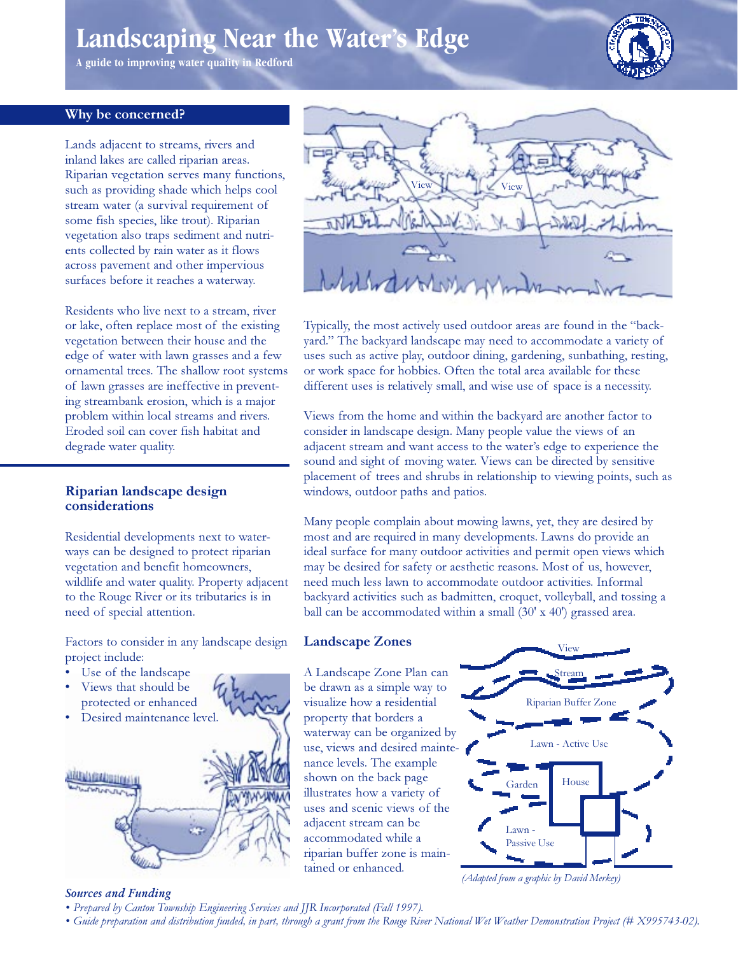# Landscaping Near the Water's Edge

A guide to improving water quality in Redford



# Why be concerned?

Lands adjacent to streams, rivers and inland lakes are called riparian areas. Riparian vegetation serves many functions, such as providing shade which helps cool stream water (a survival requirement of some fish species, like trout). Riparian vegetation also traps sediment and nutrients collected by rain water as it flows across pavement and other impervious surfaces before it reaches a waterway.

Residents who live next to a stream, river or lake, often replace most of the existing vegetation between their house and the edge of water with lawn grasses and a few ornamental trees. The shallow root systems of lawn grasses are ineffective in preventing streambank erosion, which is a major problem within local streams and rivers. Eroded soil can cover fish habitat and degrade water quality.

## Riparian landscape design considerations

Residential developments next to waterways can be designed to protect riparian vegetation and benefit homeowners, wildlife and water quality. Property adjacent to the Rouge River or its tributaries is in need of special attention.

Factors to consider in any landscape design project include:

- Use of the landscape
- Views that should be protected or enhanced
- Desired maintenance level.





Typically, the most actively used outdoor areas are found in the "backyard." The backyard landscape may need to accommodate a variety of uses such as active play, outdoor dining, gardening, sunbathing, resting, or work space for hobbies. Often the total area available for these different uses is relatively small, and wise use of space is a necessity.

Views from the home and within the backyard are another factor to consider in landscape design. Many people value the views of an adjacent stream and want access to the water's edge to experience the sound and sight of moving water. Views can be directed by sensitive placement of trees and shrubs in relationship to viewing points, such as windows, outdoor paths and patios.

Many people complain about mowing lawns, yet, they are desired by most and are required in many developments. Lawns do provide an ideal surface for many outdoor activities and permit open views which may be desired for safety or aesthetic reasons. Most of us, however, need much less lawn to accommodate outdoor activities. Informal backyard activities such as badmitten, croquet, volleyball, and tossing a ball can be accommodated within a small (30' x 40') grassed area.

## **Landscape Zones**

A Landscape Zone Plan can be drawn as a simple way to visualize how a residential property that borders a waterway can be organized by use, views and desired maintenance levels. The example shown on the back page illustrates how a variety of uses and scenic views of the adjacent stream can be accommodated while a riparian buffer zone is maintained or enhanced.



(Adapted from a graphic by David Merkey)

## **Sources and Funding**

- Prepared by Canton Township Engineering Services and JJR Incorporated (Fall 1997).
- Guide preparation and distribution funded, in part, through a grant from the Rouge River National Wet Weather Demonstration Project (# X995743-02).